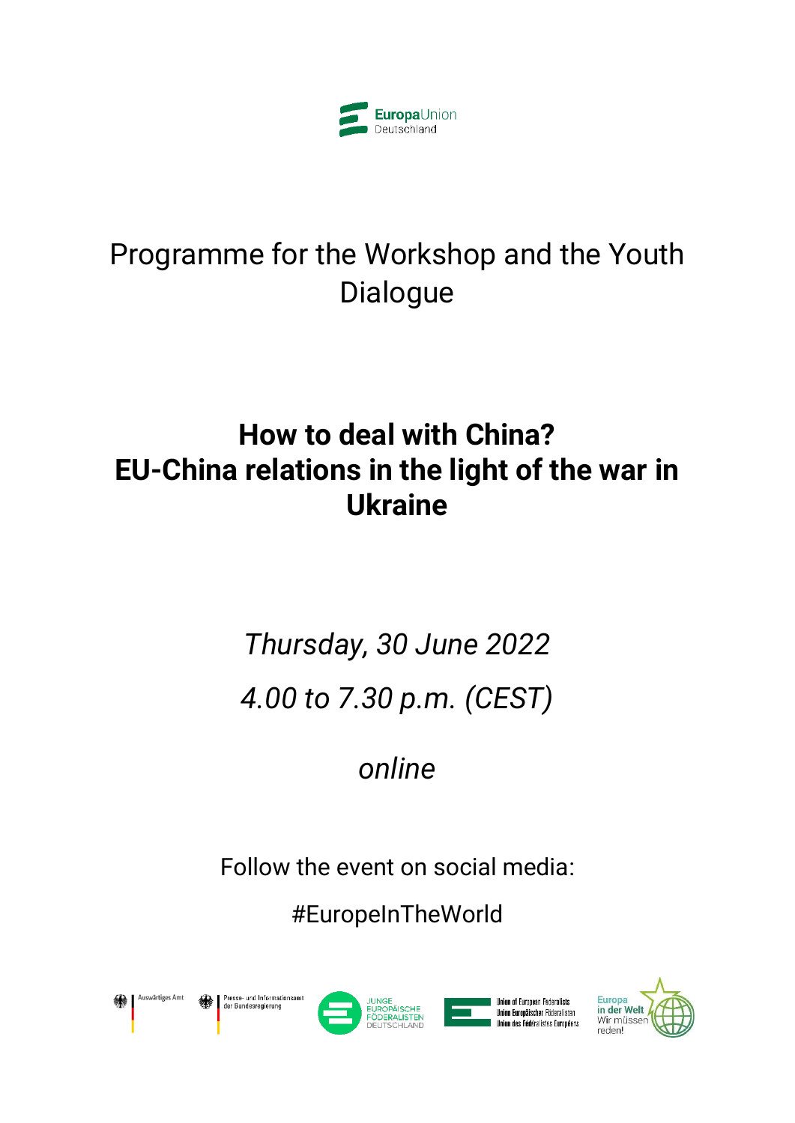

# Programme for the Workshop and the Youth Dialogue

# **How to deal with China? EU-China relations in the light of the war in Ukraine**

# *Thursday, 30 June 2022 4.00 to 7.30 p.m. (CEST)*

*online*

Follow the event on social media:

#EuropeInTheWorld